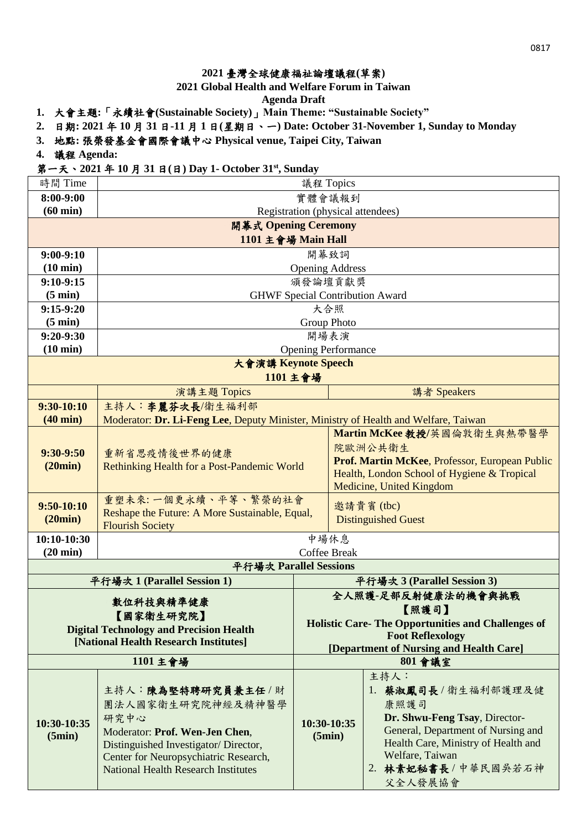## **2021** 臺灣全球健康福祉論壇議程**(**草案**)**

**2021 Global Health and Welfare Forum in Taiwan**

**Agenda Draft**

- **1.** 大會主題**:**「永續社會**(Sustainable Society)**」**Main Theme: "Sustainable Society"**
- **2.** 日期**: 2021** 年 **10** 月 **31** 日**-11** 月 **1** 日**(**星期日、一**) Date: October 31-November 1, Sunday to Monday**
- **3.** 地點**:** 張榮發基金會國際會議中心 **Physical venue, Taipei City, Taiwan**
- **4.** 議程 **Agenda:**

## 第一天、**2021** 年 **10** 月 **31** 日**(**日**) Day 1- October 31st, Sunday**

| 時間 Time                                                                                                                    | 議程 Topics                                                                                                                                                                                                       |                            |                                                                                                                                                      |                                                                                                                                                                                                          |  |
|----------------------------------------------------------------------------------------------------------------------------|-----------------------------------------------------------------------------------------------------------------------------------------------------------------------------------------------------------------|----------------------------|------------------------------------------------------------------------------------------------------------------------------------------------------|----------------------------------------------------------------------------------------------------------------------------------------------------------------------------------------------------------|--|
| 8:00-9:00                                                                                                                  | 實體會議報到                                                                                                                                                                                                          |                            |                                                                                                                                                      |                                                                                                                                                                                                          |  |
| $(60 \text{ min})$                                                                                                         | Registration (physical attendees)                                                                                                                                                                               |                            |                                                                                                                                                      |                                                                                                                                                                                                          |  |
|                                                                                                                            | 開幕式 Opening Ceremony                                                                                                                                                                                            |                            |                                                                                                                                                      |                                                                                                                                                                                                          |  |
| 1101 主會場 Main Hall                                                                                                         |                                                                                                                                                                                                                 |                            |                                                                                                                                                      |                                                                                                                                                                                                          |  |
| $9:00-9:10$                                                                                                                | 開幕致詞                                                                                                                                                                                                            |                            |                                                                                                                                                      |                                                                                                                                                                                                          |  |
| $(10 \text{ min})$                                                                                                         | <b>Opening Address</b>                                                                                                                                                                                          |                            |                                                                                                                                                      |                                                                                                                                                                                                          |  |
| $9:10-9:15$                                                                                                                | 頒發論壇貢獻獎                                                                                                                                                                                                         |                            |                                                                                                                                                      |                                                                                                                                                                                                          |  |
| $(5 \text{ min})$                                                                                                          |                                                                                                                                                                                                                 |                            |                                                                                                                                                      | <b>GHWF Special Contribution Award</b>                                                                                                                                                                   |  |
| $9:15-9:20$                                                                                                                |                                                                                                                                                                                                                 |                            | 大合照                                                                                                                                                  |                                                                                                                                                                                                          |  |
| $(5 \text{ min})$                                                                                                          |                                                                                                                                                                                                                 | <b>Group Photo</b>         |                                                                                                                                                      |                                                                                                                                                                                                          |  |
| $9:20-9:30$                                                                                                                |                                                                                                                                                                                                                 | 開場表演                       |                                                                                                                                                      |                                                                                                                                                                                                          |  |
| $(10 \text{ min})$                                                                                                         | 大會演講 Keynote Speech                                                                                                                                                                                             | <b>Opening Performance</b> |                                                                                                                                                      |                                                                                                                                                                                                          |  |
|                                                                                                                            | 1101 主會場                                                                                                                                                                                                        |                            |                                                                                                                                                      |                                                                                                                                                                                                          |  |
|                                                                                                                            | 演講主題 Topics                                                                                                                                                                                                     |                            |                                                                                                                                                      | 講者 Speakers                                                                                                                                                                                              |  |
| $9:30-10:10$                                                                                                               | 主持人:李麗芬次長/衛生福利部                                                                                                                                                                                                 |                            |                                                                                                                                                      |                                                                                                                                                                                                          |  |
| $(40 \text{ min})$                                                                                                         | Moderator: Dr. Li-Feng Lee, Deputy Minister, Ministry of Health and Welfare, Taiwan                                                                                                                             |                            |                                                                                                                                                      |                                                                                                                                                                                                          |  |
| $9:30-9:50$<br>(20min)                                                                                                     | 重新省思疫情後世界的健康<br>Rethinking Health for a Post-Pandemic World                                                                                                                                                     |                            |                                                                                                                                                      | Martin McKee 教授/英國倫敦衛生與熱帶醫學<br>院歐洲公共衛生<br>Prof. Martin McKee, Professor, European Public<br>Health, London School of Hygiene & Tropical<br>Medicine, United Kingdom                                      |  |
| $9:50-10:10$<br>(20min)                                                                                                    | 重塑未來:一個更永續、平等、繁榮的社會<br>邀請貴賓(tbc)<br>Reshape the Future: A More Sustainable, Equal,<br><b>Distinguished Guest</b><br><b>Flourish Society</b>                                                                     |                            |                                                                                                                                                      |                                                                                                                                                                                                          |  |
| 10:10-10:30<br>$(20 \text{ min})$                                                                                          | 中場休息<br>Coffee Break                                                                                                                                                                                            |                            |                                                                                                                                                      |                                                                                                                                                                                                          |  |
|                                                                                                                            | 平行場次 Parallel Sessions                                                                                                                                                                                          |                            |                                                                                                                                                      |                                                                                                                                                                                                          |  |
|                                                                                                                            | 平行場次 1 (Parallel Session 1)                                                                                                                                                                                     |                            |                                                                                                                                                      | 平行場次 3 (Parallel Session 3)                                                                                                                                                                              |  |
| 數位科技與精準健康<br>【照護司】<br>【國家衛生研究院】<br><b>Digital Technology and Precision Health</b><br>[National Health Research Institutes] |                                                                                                                                                                                                                 |                            | 全人照護-足部反射健康法的機會與挑戰<br><b>Holistic Care-The Opportunities and Challenges of</b><br><b>Foot Reflexology</b><br>[Department of Nursing and Health Care] |                                                                                                                                                                                                          |  |
|                                                                                                                            | 1101 主會場                                                                                                                                                                                                        |                            |                                                                                                                                                      | 801 會議室                                                                                                                                                                                                  |  |
| 10:30-10:35<br>(5min)                                                                                                      | 主持人:陳為堅特聘研究員兼主任/財<br>團法人國家衛生研究院神經及精神醫學<br>研究中心<br>Moderator: Prof. Wen-Jen Chen,<br>Distinguished Investigator/Director,<br>Center for Neuropsychiatric Research,<br><b>National Health Research Institutes</b> | (5min)                     | 10:30-10:35                                                                                                                                          | 主持人:<br>1. 蔡淑鳳司長 / 衛生福利部護理及健<br>康照護司<br>Dr. Shwu-Feng Tsay, Director-<br>General, Department of Nursing and<br>Health Care, Ministry of Health and<br>Welfare, Taiwan<br>2. 林素妃秘書長 / 中華民國吳若石神<br>父全人發展協會 |  |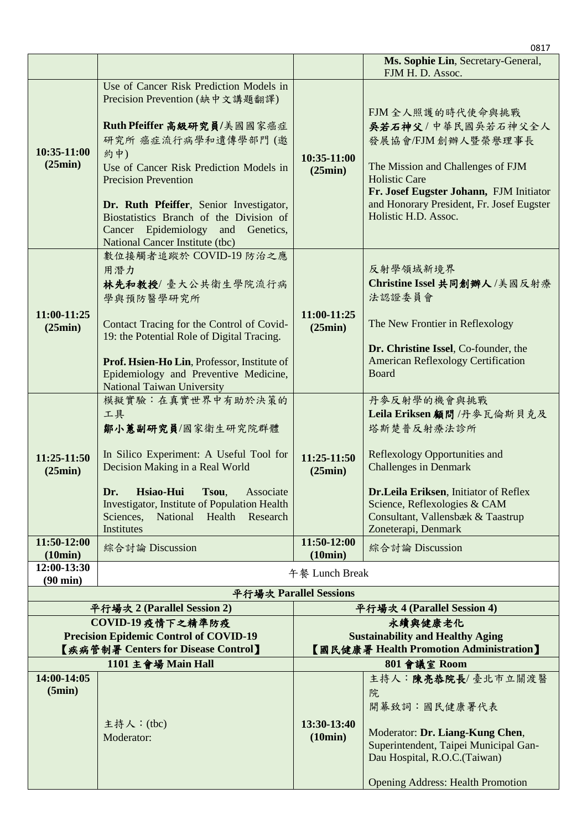|                                                                                                           |                                                                                                                                                                                                                                                                                                                                                                              |                                                                                               | 0817                                                                                                                                                                                                                                                          |  |
|-----------------------------------------------------------------------------------------------------------|------------------------------------------------------------------------------------------------------------------------------------------------------------------------------------------------------------------------------------------------------------------------------------------------------------------------------------------------------------------------------|-----------------------------------------------------------------------------------------------|---------------------------------------------------------------------------------------------------------------------------------------------------------------------------------------------------------------------------------------------------------------|--|
|                                                                                                           |                                                                                                                                                                                                                                                                                                                                                                              |                                                                                               | Ms. Sophie Lin, Secretary-General,<br>FJM H. D. Assoc.                                                                                                                                                                                                        |  |
| 10:35-11:00<br>(25min)                                                                                    | Use of Cancer Risk Prediction Models in<br>Precision Prevention (缺中文講題翻譯)<br>Ruth Pfeiffer 高級研究員/美國國家癌症<br>研究所 癌症流行病學和遺傳學部門(邀<br>約中)<br>Use of Cancer Risk Prediction Models in<br><b>Precision Prevention</b><br>Dr. Ruth Pfeiffer, Senior Investigator,<br>Biostatistics Branch of the Division of<br>Cancer Epidemiology and Genetics,<br>National Cancer Institute (tbc) | 10:35-11:00<br>(25min)                                                                        | FJM 全人照護的時代使命與挑戰<br>吴若石神父/中華民國吳若石神父全人<br>發展協會/FJM 創辦人暨榮譽理事長<br>The Mission and Challenges of FJM<br><b>Holistic Care</b><br>Fr. Josef Eugster Johann, FJM Initiator<br>and Honorary President, Fr. Josef Eugster<br>Holistic H.D. Assoc.                      |  |
| 11:00-11:25<br>(25min)                                                                                    | 數位接觸者追蹤於 COVID-19 防治之應<br>用潛力<br>林先和教授/臺大公共衛生學院流行病<br>學與預防醫學研究所<br>Contact Tracing for the Control of Covid-<br>19: the Potential Role of Digital Tracing.<br>Prof. Hsien-Ho Lin, Professor, Institute of<br>Epidemiology and Preventive Medicine,<br><b>National Taiwan University</b>                                                                                      | 11:00-11:25<br>(25min)                                                                        | 反射學領域新境界<br>Christine Issel 共同創辦人/美國反射療<br>法認證委員會<br>The New Frontier in Reflexology<br>Dr. Christine Issel, Co-founder, the<br><b>American Reflexology Certification</b><br>Board                                                                            |  |
| 11:25-11:50<br>(25min)                                                                                    | 模擬實驗:在真實世界中有助於決策的<br>工具<br>鄒小蕙副研究員/國家衛生研究院群體<br>In Silico Experiment: A Useful Tool for<br>Decision Making in a Real World<br>Hsiao-Hui<br>Dr.<br>Tsou,<br>Associate<br>Investigator, Institute of Population Health<br>Health<br>Sciences,<br>National<br>Research<br>Institutes                                                                                            | 11:25-11:50<br>(25min)                                                                        | 丹麥反射學的機會與挑戰<br>Leila Eriksen 顧問 /丹麥瓦倫斯貝克及<br>塔斯楚普反射療法診所<br>Reflexology Opportunities and<br><b>Challenges in Denmark</b><br>Dr.Leila Eriksen, Initiator of Reflex<br>Science, Reflexologies & CAM<br>Consultant, Vallensbæk & Taastrup<br>Zoneterapi, Denmark |  |
| 11:50-12:00                                                                                               | 綜合討論 Discussion                                                                                                                                                                                                                                                                                                                                                              | 11:50-12:00                                                                                   | 綜合討論 Discussion                                                                                                                                                                                                                                               |  |
| (10min)<br>12:00-13:30                                                                                    |                                                                                                                                                                                                                                                                                                                                                                              | (10min)<br>午餐 Lunch Break                                                                     |                                                                                                                                                                                                                                                               |  |
| $(90 \text{ min})$                                                                                        |                                                                                                                                                                                                                                                                                                                                                                              | 平行場次 Parallel Sessions                                                                        |                                                                                                                                                                                                                                                               |  |
|                                                                                                           | 平行場次 2 (Parallel Session 2)                                                                                                                                                                                                                                                                                                                                                  |                                                                                               | 平行場次 4 (Parallel Session 4)                                                                                                                                                                                                                                   |  |
| COVID-19 疫情下之精準防疫<br><b>Precision Epidemic Control of COVID-19</b><br>【疾病管制署 Centers for Disease Control】 |                                                                                                                                                                                                                                                                                                                                                                              | 永續與健康老化<br><b>Sustainability and Healthy Aging</b><br>【國民健康署 Health Promotion Administration】 |                                                                                                                                                                                                                                                               |  |
|                                                                                                           | 1101 主會場 Main Hall                                                                                                                                                                                                                                                                                                                                                           |                                                                                               | 801 會議室 Room                                                                                                                                                                                                                                                  |  |
| 14:00-14:05<br>(5min)                                                                                     | 主持人: (tbc)<br>Moderator:                                                                                                                                                                                                                                                                                                                                                     | 13:30-13:40<br>(10min)                                                                        | 主持人:陳亮恭院長/臺北市立關渡醫<br>院<br>開幕致詞:國民健康署代表<br>Moderator: Dr. Liang-Kung Chen,<br>Superintendent, Taipei Municipal Gan-<br>Dau Hospital, R.O.C. (Taiwan)<br><b>Opening Address: Health Promotion</b>                                                               |  |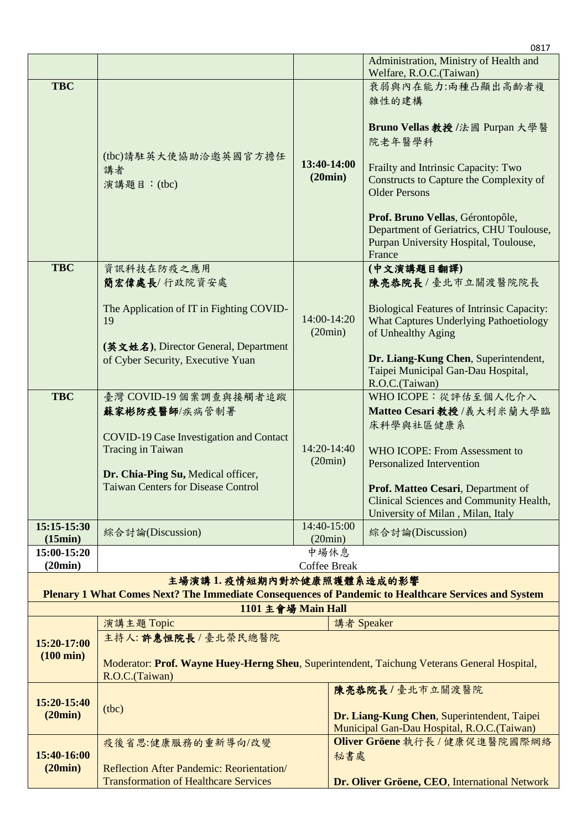|                                    |                                                                                                                                                                                                   |                                                  |     | 0817                                                                                                                                                                                                                                                                                                               |
|------------------------------------|---------------------------------------------------------------------------------------------------------------------------------------------------------------------------------------------------|--------------------------------------------------|-----|--------------------------------------------------------------------------------------------------------------------------------------------------------------------------------------------------------------------------------------------------------------------------------------------------------------------|
|                                    |                                                                                                                                                                                                   |                                                  |     | Administration, Ministry of Health and<br>Welfare, R.O.C.(Taiwan)                                                                                                                                                                                                                                                  |
| <b>TBC</b>                         | (tbc)請駐英大使協助洽邀英國官方擔任<br>講者<br>演講題目: (tbc)                                                                                                                                                         | 13:40-14:00<br>(20min)                           |     | 衰弱與內在能力:兩種凸顯出高齡者複<br>雜性的建構<br>Bruno Vellas 教授 /法國 Purpan 大學醫<br>院老年醫學科<br>Frailty and Intrinsic Capacity: Two<br>Constructs to Capture the Complexity of<br><b>Older Persons</b><br>Prof. Bruno Vellas, Gérontopôle,<br>Department of Geriatrics, CHU Toulouse,<br>Purpan University Hospital, Toulouse,<br>France |
| <b>TBC</b>                         | 資訊科技在防疫之應用<br>簡宏偉處長/行政院資安處<br>The Application of IT in Fighting COVID-                                                                                                                            | 14:00-14:20<br>(20min)<br>14:20-14:40<br>(20min) |     | (中文演講題目翻譯)<br>陳亮恭院長/臺北市立關渡醫院院長<br><b>Biological Features of Intrinsic Capacity:</b>                                                                                                                                                                                                                                |
|                                    | 19<br>(英文姓名), Director General, Department<br>of Cyber Security, Executive Yuan                                                                                                                   |                                                  |     | <b>What Captures Underlying Pathoetiology</b><br>of Unhealthy Aging<br>Dr. Liang-Kung Chen, Superintendent,<br>Taipei Municipal Gan-Dau Hospital,<br>R.O.C.(Taiwan)                                                                                                                                                |
| <b>TBC</b>                         | 臺灣 COVID-19 個案調查與接觸者追蹤<br>蘇家彬防疫醫師/疾病管制署<br><b>COVID-19 Case Investigation and Contact</b><br>Tracing in Taiwan<br>Dr. Chia-Ping Su, Medical officer,<br><b>Taiwan Centers for Disease Control</b> |                                                  |     | WHO ICOPE: 從評估至個人化介入<br>Matteo Cesari 教授/義大利米蘭大學臨<br>床科學與社區健康系<br>WHO ICOPE: From Assessment to<br><b>Personalized Intervention</b><br>Prof. Matteo Cesari, Department of<br>Clinical Sciences and Community Health,<br>University of Milan, Milan, Italy                                                          |
| 15:15-15:30<br>(15min)             | 綜合討論(Discussion)                                                                                                                                                                                  | 14:40-15:00<br>(20min)                           |     | 綜合討論(Discussion)                                                                                                                                                                                                                                                                                                   |
| 15:00-15:20                        |                                                                                                                                                                                                   | 中場休息                                             |     |                                                                                                                                                                                                                                                                                                                    |
| (20min)                            | 主場演講1.疫情短期內對於健康照護體系造成的影響                                                                                                                                                                          | <b>Coffee Break</b>                              |     |                                                                                                                                                                                                                                                                                                                    |
|                                    | Plenary 1 What Comes Next? The Immediate Consequences of Pandemic to Healthcare Services and System<br>1101 主會場 Main Hall                                                                         |                                                  |     |                                                                                                                                                                                                                                                                                                                    |
|                                    | 演講主題 Topic                                                                                                                                                                                        |                                                  |     | 講者 Speaker                                                                                                                                                                                                                                                                                                         |
| 15:20-17:00<br>$(100 \text{ min})$ | 主持人:許惠恒院長/臺北榮民總醫院<br>Moderator: Prof. Wayne Huey-Herng Sheu, Superintendent, Taichung Veterans General Hospital,<br>R.O.C.(Taiwan)                                                                |                                                  |     |                                                                                                                                                                                                                                                                                                                    |
| 15:20-15:40<br>(20min)             | (tbc)                                                                                                                                                                                             |                                                  |     | 陳亮恭院長/臺北市立關渡醫院<br>Dr. Liang-Kung Chen, Superintendent, Taipei<br>Municipal Gan-Dau Hospital, R.O.C.(Taiwan)                                                                                                                                                                                                        |
| 15:40-16:00<br>(20min)             | 疫後省思:健康服務的重新導向/改變<br>Reflection After Pandemic: Reorientation/<br><b>Transformation of Healthcare Services</b>                                                                                    |                                                  | 秘書處 | Oliver Gröene 執行長 / 健康促進醫院國際網絡<br>Dr. Oliver Gröene, CEO, International Network                                                                                                                                                                                                                                    |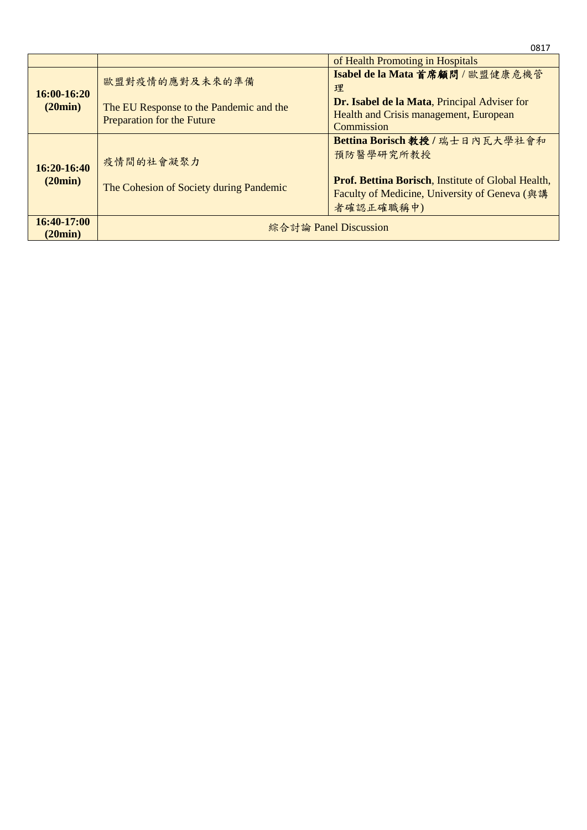|                        |                                                                                                | of Health Promoting in Hospitals                                                                                                                                         |
|------------------------|------------------------------------------------------------------------------------------------|--------------------------------------------------------------------------------------------------------------------------------------------------------------------------|
| 16:00-16:20<br>(20min) | 歐盟對疫情的應對及未來的準備<br>The EU Response to the Pandemic and the<br><b>Preparation for the Future</b> | Isabel de la Mata 首席顧問 / 歐盟健康危機管<br>理<br>Dr. Isabel de la Mata, Principal Adviser for<br>Health and Crisis management, European<br>Commission                            |
| 16:20-16:40<br>(20min) | 疫情間的社會凝聚力<br>The Cohesion of Society during Pandemic                                           | Bettina Borisch 教授 / 瑞士日內瓦大學社會和<br>預防醫學研究所教授<br><b>Prof. Bettina Borisch, Institute of Global Health,</b><br>Faculty of Medicine, University of Geneva (與講)<br>者確認正確職稱中) |
| 16:40-17:00<br>(20min) |                                                                                                | 綜合討論 Panel Discussion                                                                                                                                                    |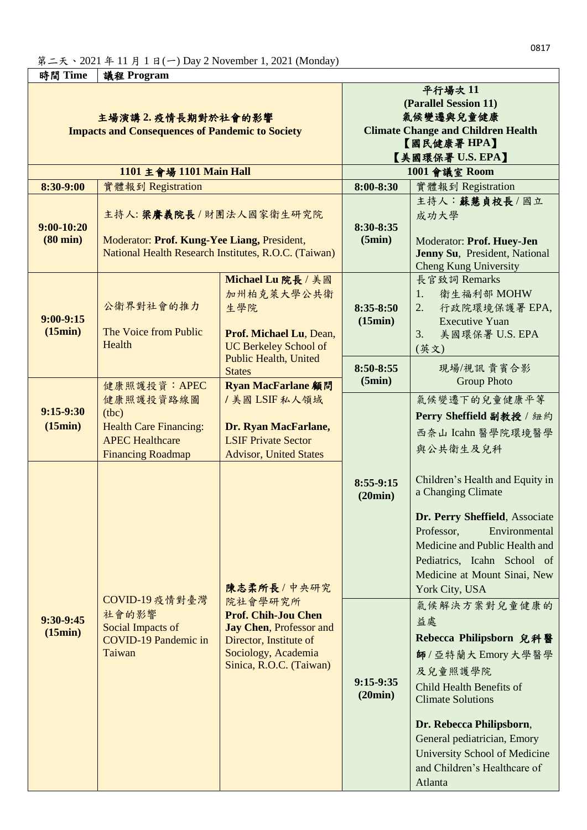| 時間 Time                                                                                                                                    | 議程 Program                                                                                                                |                                                                                                                                                                       |                                                                                                                                                                                                    |                                                                                                                                                                                                                                                                                   |  |
|--------------------------------------------------------------------------------------------------------------------------------------------|---------------------------------------------------------------------------------------------------------------------------|-----------------------------------------------------------------------------------------------------------------------------------------------------------------------|----------------------------------------------------------------------------------------------------------------------------------------------------------------------------------------------------|-----------------------------------------------------------------------------------------------------------------------------------------------------------------------------------------------------------------------------------------------------------------------------------|--|
| 主場演講 2. 疫情長期對於社會的影響<br><b>Impacts and Consequences of Pandemic to Society</b><br>1101 主會場 1101 Main Hall<br>8:30-9:00<br>實體報到 Registration |                                                                                                                           |                                                                                                                                                                       | 平行場次11<br>(Parallel Session 11)<br>氣候變遷與兒童健康<br><b>Climate Change and Children Health</b><br>【國民健康署HPA】<br>【美國環保署 U.S. EPA】<br>1001 會議室 Room<br>$8:00 - 8:30$<br>實體報到 Registration<br>主持人:蘇慧貞校長/國立 |                                                                                                                                                                                                                                                                                   |  |
| $9:00-10:20$<br>$(80 \text{ min})$                                                                                                         | 主持人:梁賽義院長/財團法人國家衛生研究院<br>Moderator: Prof. Kung-Yee Liang, President,                                                      | National Health Research Institutes, R.O.C. (Taiwan)                                                                                                                  | 8:30-8:35<br>(5min)                                                                                                                                                                                | 成功大學<br>Moderator: Prof. Huey-Jen<br>Jenny Su, President, National<br><b>Cheng Kung University</b>                                                                                                                                                                                |  |
| $9:00 - 9:15$<br>(15min)                                                                                                                   | 公衛界對社會的推力<br>The Voice from Public<br>Health                                                                              | Michael Lu 院長 / 美國<br>加州柏克萊大學公共衛<br>生學院<br>Prof. Michael Lu, Dean,<br><b>UC Berkeley School of</b>                                                                    | $8:35-8:50$<br>(15min)                                                                                                                                                                             | 長官致詞 Remarks<br>衛生福利部 MOHW<br>1.<br>2.<br>行政院環境保護署 EPA,<br><b>Executive Yuan</b><br>美國環保署 U.S. EPA<br>3.<br>(英文)                                                                                                                                                                  |  |
|                                                                                                                                            | <b>Public Health, United</b><br><b>States</b>                                                                             |                                                                                                                                                                       | 8:50-8:55<br>(5min)                                                                                                                                                                                | 現場/視訊貴賓合影<br><b>Group Photo</b>                                                                                                                                                                                                                                                   |  |
| $9:15-9:30$<br>(15min)                                                                                                                     | 健康照護投資: APEC<br>健康照護投資路線圖<br>(tbc)<br><b>Health Care Financing:</b><br><b>APEC Healthcare</b><br><b>Financing Roadmap</b> | Ryan MacFarlane 顧問<br>/美國LSIF私人領域<br>Dr. Ryan MacFarlane,<br><b>LSIF Private Sector</b><br><b>Advisor, United States</b>                                              |                                                                                                                                                                                                    | 氣候變遷下的兒童健康平等<br>Perry Sheffield 副教授 / 紐約<br>西奈山 Icahn 醫學院環境醫學<br>與公共衛生及兒科                                                                                                                                                                                                         |  |
|                                                                                                                                            | 陳志柔所長 / 中央研究                                                                                                              |                                                                                                                                                                       | $8:55-9:15$<br>(20min)                                                                                                                                                                             | Children's Health and Equity in<br>a Changing Climate<br>Dr. Perry Sheffield, Associate<br>Professor,<br>Environmental<br>Medicine and Public Health and<br>Pediatrics, Icahn School of<br>Medicine at Mount Sinai, New<br>York City, USA                                         |  |
| $9:30-9:45$<br>(15min)                                                                                                                     | 社會的影響<br>Social Impacts of<br><b>COVID-19 Pandemic in</b><br>Taiwan                                                       | COVID-19 疫情對臺灣<br>院社會學研究所<br><b>Prof. Chih-Jou Chen</b><br><b>Jay Chen, Professor and</b><br>Director, Institute of<br>Sociology, Academia<br>Sinica, R.O.C. (Taiwan) | $9:15-9:35$<br>(20min)                                                                                                                                                                             | 氣候解決方案對兒童健康的<br>益處<br>Rebecca Philipsborn 兒科醫<br>師/亞特蘭大Emory大學醫學<br>及兒童照護學院<br>Child Health Benefits of<br><b>Climate Solutions</b><br>Dr. Rebecca Philipsborn,<br>General pediatrician, Emory<br><b>University School of Medicine</b><br>and Children's Healthcare of<br>Atlanta |  |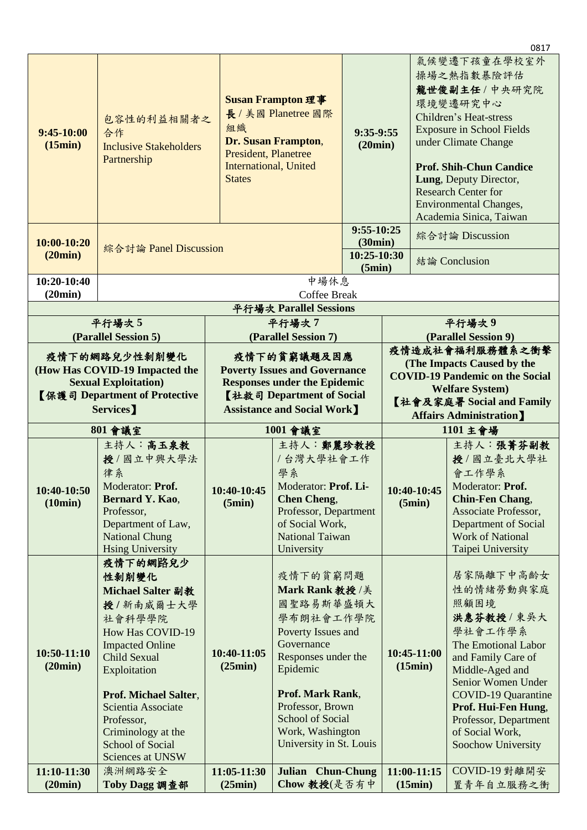|                                                                                                                                |                                                                                                                                                                                                                                                                                             |                                                                                                                                                                    |                                                                                                                                                                                                                                                             |                                                                                                                                                                                 |                                        |                                                                                                                                                                                      | 0817                                                                                                                                                                                                                                                                                          |
|--------------------------------------------------------------------------------------------------------------------------------|---------------------------------------------------------------------------------------------------------------------------------------------------------------------------------------------------------------------------------------------------------------------------------------------|--------------------------------------------------------------------------------------------------------------------------------------------------------------------|-------------------------------------------------------------------------------------------------------------------------------------------------------------------------------------------------------------------------------------------------------------|---------------------------------------------------------------------------------------------------------------------------------------------------------------------------------|----------------------------------------|--------------------------------------------------------------------------------------------------------------------------------------------------------------------------------------|-----------------------------------------------------------------------------------------------------------------------------------------------------------------------------------------------------------------------------------------------------------------------------------------------|
| $9:45-10:00$<br>(15min)                                                                                                        | 包容性的利益相關者之<br>合作<br><b>Inclusive Stakeholders</b><br>Partnership                                                                                                                                                                                                                            | <b>Susan Frampton 理事</b><br>長 / 美國 Planetree 國際<br>組織<br>Dr. Susan Frampton,<br>President, Planetree<br><b>International, United</b><br><b>States</b>              |                                                                                                                                                                                                                                                             | 9:35-9:55<br>(20min)                                                                                                                                                            |                                        |                                                                                                                                                                                      | 氣候變遷下孩童在學校室外<br>操場之熱指數暴險評估<br>龍世俊副主任 / 中央研究院<br>環境變遷研究中心<br>Children's Heat-stress<br><b>Exposure in School Fields</b><br>under Climate Change<br><b>Prof. Shih-Chun Candice</b><br>Lung, Deputy Director,<br><b>Research Center for</b><br>Environmental Changes,<br>Academia Sinica, Taiwan |
| 10:00-10:20<br>(20min)                                                                                                         | 綜合討論 Panel Discussion                                                                                                                                                                                                                                                                       |                                                                                                                                                                    |                                                                                                                                                                                                                                                             |                                                                                                                                                                                 | $9:55-10:25$<br>(30min)<br>10:25-10:30 |                                                                                                                                                                                      | 綜合討論 Discussion<br>結論 Conclusion                                                                                                                                                                                                                                                              |
| 10:20-10:40                                                                                                                    |                                                                                                                                                                                                                                                                                             |                                                                                                                                                                    | 中場休息                                                                                                                                                                                                                                                        | (5min)                                                                                                                                                                          |                                        |                                                                                                                                                                                      |                                                                                                                                                                                                                                                                                               |
| (20min)                                                                                                                        |                                                                                                                                                                                                                                                                                             |                                                                                                                                                                    | <b>Coffee Break</b>                                                                                                                                                                                                                                         |                                                                                                                                                                                 |                                        |                                                                                                                                                                                      |                                                                                                                                                                                                                                                                                               |
|                                                                                                                                |                                                                                                                                                                                                                                                                                             |                                                                                                                                                                    | 平行場次 Parallel Sessions                                                                                                                                                                                                                                      |                                                                                                                                                                                 |                                        |                                                                                                                                                                                      |                                                                                                                                                                                                                                                                                               |
|                                                                                                                                | 平行場次5                                                                                                                                                                                                                                                                                       |                                                                                                                                                                    | 平行場次7                                                                                                                                                                                                                                                       |                                                                                                                                                                                 |                                        |                                                                                                                                                                                      | 平行場次9                                                                                                                                                                                                                                                                                         |
|                                                                                                                                | (Parallel Session 5)                                                                                                                                                                                                                                                                        |                                                                                                                                                                    | (Parallel Session 7)                                                                                                                                                                                                                                        |                                                                                                                                                                                 |                                        |                                                                                                                                                                                      | (Parallel Session 9)                                                                                                                                                                                                                                                                          |
| 疫情下的網路兒少性剝削變化<br>(How Has COVID-19 Impacted the<br><b>Sexual Exploitation</b> )<br>【保護司 Department of Protective<br>Services ] |                                                                                                                                                                                                                                                                                             | 疫情下的貧窮議題及因應<br><b>Poverty Issues and Governance</b><br><b>Responses under the Epidemic</b><br>【社救司 Department of Social<br><b>Assistance and Social Work</b> ]     |                                                                                                                                                                                                                                                             | 疫情造成社會福利服務體系之衝擊<br>(The Impacts Caused by the<br><b>COVID-19 Pandemic on the Social</b><br><b>Welfare System)</b><br>【社會及家庭署 Social and Family<br><b>Affairs Administration</b> |                                        |                                                                                                                                                                                      |                                                                                                                                                                                                                                                                                               |
|                                                                                                                                | 801 會議室                                                                                                                                                                                                                                                                                     | 1001 會議室                                                                                                                                                           |                                                                                                                                                                                                                                                             |                                                                                                                                                                                 |                                        | 1101 主會場                                                                                                                                                                             |                                                                                                                                                                                                                                                                                               |
| 10:40-10:50<br>(10min)                                                                                                         | 主持人:高玉泉教<br>授/國立中興大學法<br>律系<br>Moderator: Prof.<br>Bernard Y. Kao,<br>Professor,<br>Department of Law,<br><b>National Chung</b><br><b>Hsing University</b>                                                                                                                                  | 主持人:鄭麗珍教授<br>/台灣大學社會工作<br>學系<br>Moderator: Prof. Li-<br>10:40-10:45<br><b>Chen Cheng,</b><br>(5min)<br>Professor, Department<br>of Social Work,<br>National Taiwan |                                                                                                                                                                                                                                                             |                                                                                                                                                                                 | 10:40-10:45<br>(5min)                  | 主持人:張菁芬副教<br>授/國立臺北大學社<br>會工作學系<br>Moderator: <b>Prof.</b><br><b>Chin-Fen Chang,</b><br>Associate Professor,<br>Department of Social<br><b>Work of National</b><br>Taipei University |                                                                                                                                                                                                                                                                                               |
| 10:50-11:10<br>(20min)                                                                                                         | 疫情下的網路兒少<br>性剝削變化<br>Michael Salter 副教<br>授/新南威爾士大學<br>社會科學學院<br><b>How Has COVID-19</b><br><b>Impacted Online</b><br><b>Child Sexual</b><br>Exploitation<br>Prof. Michael Salter,<br>Scientia Associate<br>Professor,<br>Criminology at the<br><b>School of Social</b><br>Sciences at UNSW | 10:40-11:05<br>(25min)                                                                                                                                             | University<br>疫情下的貧窮問題<br>Mark Rank 教授/美<br>國聖路易斯華盛頓大<br>學布朗社會工作學院<br>Poverty Issues and<br>Governance<br>Responses under the<br>Epidemic<br>Prof. Mark Rank,<br>Professor, Brown<br><b>School of Social</b><br>Work, Washington<br>University in St. Louis |                                                                                                                                                                                 |                                        | 10:45-11:00<br>(15min)                                                                                                                                                               | 居家隔離下中高齡女<br>性的情绪勞動與家庭<br>照顧困境<br>洪惠芬教授 / 東吳大<br>學社會工作學系<br>The Emotional Labor<br>and Family Care of<br>Middle-Aged and<br>Senior Women Under<br><b>COVID-19 Quarantine</b><br>Prof. Hui-Fen Hung,<br>Professor, Department<br>of Social Work,<br>Soochow University                         |
| 11:10-11:30<br>(20min)                                                                                                         | 澳洲網路安全<br>Toby Dagg 調查部                                                                                                                                                                                                                                                                     | 11:05-11:30<br>(25min)                                                                                                                                             | Julian Chun-Chung<br>Chow 教授(是否有中                                                                                                                                                                                                                           |                                                                                                                                                                                 |                                        | 11:00-11:15<br>(15min)                                                                                                                                                               | COVID-19 對離開安<br>置青年自立服務之衝                                                                                                                                                                                                                                                                    |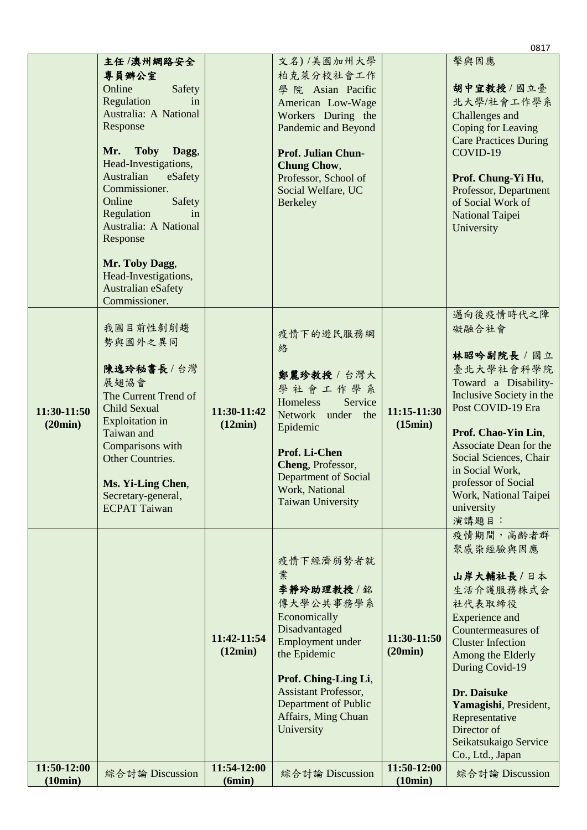|                        |                                        |                       |                                                 |                        | 0817                         |
|------------------------|----------------------------------------|-----------------------|-------------------------------------------------|------------------------|------------------------------|
|                        | 主任/澳州網路安全                              |                       | 文名)/美國加州大學                                      |                        | 擊與因應                         |
|                        | 專員辦公室                                  |                       | 柏克萊分校社會工作                                       |                        |                              |
|                        | Online<br>Safety                       |                       | 學院 Asian Pacific                                |                        | 胡中宜教授/國立臺                    |
|                        | Regulation<br>in                       |                       | American Low-Wage                               |                        | 北大學/社會工作學系                   |
|                        | Australia: A National                  |                       | Workers During the                              |                        | Challenges and               |
|                        | Response                               |                       | Pandemic and Beyond                             |                        | Coping for Leaving           |
|                        | Mr. Toby<br>Dagg,                      |                       |                                                 |                        | <b>Care Practices During</b> |
|                        | Head-Investigations,                   |                       | <b>Prof. Julian Chun-</b><br><b>Chung Chow,</b> |                        | COVID-19                     |
|                        | Australian<br>eSafety                  |                       | Professor, School of                            |                        | Prof. Chung-Yi Hu,           |
|                        | Commissioner.                          |                       | Social Welfare, UC                              |                        | Professor, Department        |
|                        | Online<br>Safety                       |                       | <b>Berkeley</b>                                 |                        | of Social Work of            |
|                        | Regulation<br>in                       |                       |                                                 |                        | National Taipei              |
|                        | Australia: A National                  |                       |                                                 |                        | University                   |
|                        | Response                               |                       |                                                 |                        |                              |
|                        |                                        |                       |                                                 |                        |                              |
|                        | Mr. Toby Dagg,<br>Head-Investigations, |                       |                                                 |                        |                              |
|                        | Australian eSafety                     |                       |                                                 |                        |                              |
|                        | Commissioner.                          |                       |                                                 |                        |                              |
|                        |                                        |                       |                                                 |                        | 邁向後疫情時代之障                    |
|                        | 我國目前性剝削趨                               |                       | 疫情下的遊民服務網                                       |                        | 礙融合社會                        |
|                        | 勢與國外之異同                                |                       | 絡                                               |                        |                              |
|                        |                                        |                       |                                                 |                        | 林昭吟副院長 / 國立                  |
|                        | 陳逸玲秘書長/台灣                              |                       | 鄭麗珍教授 / 台灣大                                     |                        | 臺北大學社會科學院                    |
|                        | 展翅協會                                   |                       | 學社會工作學系                                         |                        | Toward a Disability-         |
|                        | The Current Trend of                   |                       | Homeless<br>Service                             |                        | Inclusive Society in the     |
| 11:30-11:50            | Child Sexual                           | 11:30-11:42           | Network under the                               | 11:15-11:30            | Post COVID-19 Era            |
| (20min)                | <b>Exploitation</b> in<br>Taiwan and   | (12min)               | Epidemic                                        | (15min)                | Prof. Chao-Yin Lin,          |
|                        | Comparisons with                       |                       |                                                 |                        | Associate Dean for the       |
|                        | Other Countries.                       |                       | Prof. Li-Chen                                   |                        | Social Sciences, Chair       |
|                        |                                        |                       | Cheng, Professor,                               |                        | in Social Work,              |
|                        | Ms. Yi-Ling Chen,                      |                       | Department of Social<br>Work, National          |                        | professor of Social          |
|                        | Secretary-general,                     |                       | <b>Taiwan University</b>                        |                        | Work, National Taipei        |
|                        | <b>ECPAT Taiwan</b>                    |                       |                                                 |                        | university<br>演講題目:          |
|                        |                                        |                       |                                                 |                        | 疫情期間,高齡者群                    |
|                        |                                        |                       |                                                 |                        | 聚感染經驗與因應                     |
|                        |                                        |                       | 疫情下經濟弱勢者就                                       |                        |                              |
|                        |                                        |                       | 業                                               |                        | 山岸大輔社長/日本                    |
|                        |                                        |                       | 李靜玲助理教授/銘                                       |                        | 生活介護服務株式会                    |
|                        |                                        |                       | 傳大學公共事務學系                                       |                        | 社代表取締役                       |
|                        |                                        |                       | Economically                                    |                        | <b>Experience</b> and        |
|                        |                                        |                       | Disadvantaged                                   |                        | Countermeasures of           |
|                        |                                        | 11:42-11:54           | Employment under                                | 11:30-11:50            | <b>Cluster Infection</b>     |
|                        |                                        | (12min)               | the Epidemic                                    | (20min)                | Among the Elderly            |
|                        |                                        |                       |                                                 |                        | During Covid-19              |
|                        |                                        |                       | Prof. Ching-Ling Li,<br>Assistant Professor,    |                        | Dr. Daisuke                  |
|                        |                                        |                       | Department of Public                            |                        | Yamagishi, President,        |
|                        |                                        |                       | Affairs, Ming Chuan                             |                        | Representative               |
|                        |                                        |                       | University                                      |                        | Director of                  |
|                        |                                        |                       |                                                 |                        | Seikatsukaigo Service        |
|                        |                                        |                       |                                                 |                        | Co., Ltd., Japan             |
| 11:50-12:00<br>(10min) | 綜合討論 Discussion                        | 11:54-12:00<br>(6min) | 綜合討論 Discussion                                 | 11:50-12:00<br>(10min) | 綜合討論 Discussion              |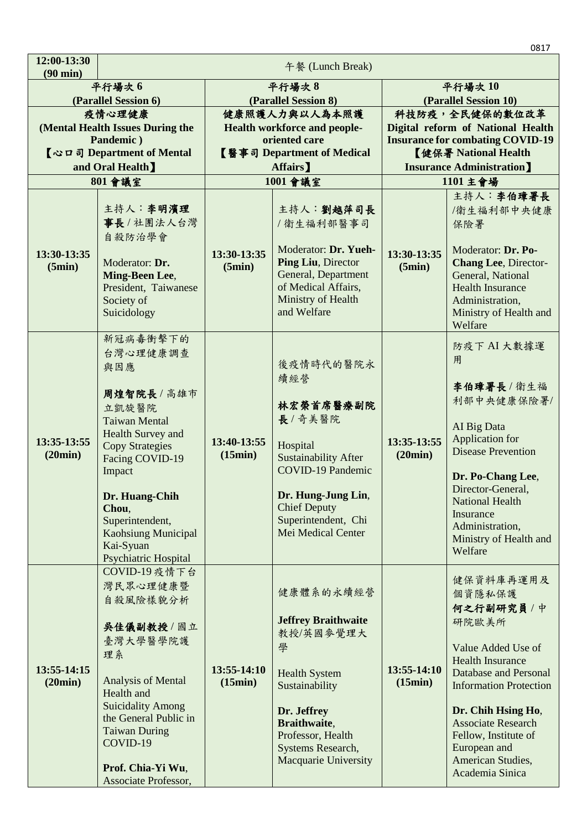|                                   |                                                                                                                                                                                                                                                                        |                        |                                                                                                                                                                                                             |                                                         | 0817                                                                                                                                                                                                                                                                                      |
|-----------------------------------|------------------------------------------------------------------------------------------------------------------------------------------------------------------------------------------------------------------------------------------------------------------------|------------------------|-------------------------------------------------------------------------------------------------------------------------------------------------------------------------------------------------------------|---------------------------------------------------------|-------------------------------------------------------------------------------------------------------------------------------------------------------------------------------------------------------------------------------------------------------------------------------------------|
| 12:00-13:30<br>$(90 \text{ min})$ | 午餐 (Lunch Break)                                                                                                                                                                                                                                                       |                        |                                                                                                                                                                                                             |                                                         |                                                                                                                                                                                                                                                                                           |
|                                   | 平行場次6<br>(Parallel Session 6)                                                                                                                                                                                                                                          |                        | 平行場次8<br>(Parallel Session 8)                                                                                                                                                                               | 平行場次10<br>(Parallel Session 10)                         |                                                                                                                                                                                                                                                                                           |
|                                   | 疫情心理健康                                                                                                                                                                                                                                                                 |                        | 健康照護人力與以人為本照護                                                                                                                                                                                               |                                                         | 科技防疫,全民健保的數位改革                                                                                                                                                                                                                                                                            |
|                                   | (Mental Health Issues During the                                                                                                                                                                                                                                       |                        | Health workforce and people-                                                                                                                                                                                |                                                         | Digital reform of National Health                                                                                                                                                                                                                                                         |
|                                   | Pandemic)<br>【心口司 Department of Mental                                                                                                                                                                                                                                 |                        | oriented care<br>【醫事司 Department of Medical                                                                                                                                                                 |                                                         | <b>Insurance for combating COVID-19</b>                                                                                                                                                                                                                                                   |
|                                   | and Oral Health]                                                                                                                                                                                                                                                       |                        | Affairs]                                                                                                                                                                                                    | 【健保署 National Health<br><b>Insurance Administration</b> |                                                                                                                                                                                                                                                                                           |
|                                   | 801 會議室                                                                                                                                                                                                                                                                |                        | 1001 會議室                                                                                                                                                                                                    | 1101 主會場                                                |                                                                                                                                                                                                                                                                                           |
| 13:30-13:35<br>(5min)             | 主持人:李明濱理<br>事長 / 社團法人台灣<br>自殺防治學會<br>Moderator: Dr.<br>Ming-Been Lee,<br>President, Taiwanese<br>Society of<br>Suicidology                                                                                                                                             | 13:30-13:35<br>(5min)  | 主持人:劉越萍司長<br>/衛生福利部醫事司<br>Moderator: Dr. Yueh-<br>Ping Liu, Director<br>General, Department<br>of Medical Affairs,<br>Ministry of Health<br>and Welfare                                                     | 13:30-13:35<br>(5min)                                   | 主持人:李伯璋署長<br>/衛生福利部中央健康<br>保險署<br>Moderator: Dr. Po-<br><b>Chang Lee</b> , Director-<br>General, National<br><b>Health Insurance</b><br>Administration,<br>Ministry of Health and<br>Welfare                                                                                              |
| 13:35-13:55<br>(20min)            | 新冠病毒衝擊下的<br>台灣心理健康調查<br>與因應<br>周煌智院長/高雄市<br>立凱旋醫院<br><b>Taiwan Mental</b><br>Health Survey and<br><b>Copy Strategies</b><br>Facing COVID-19<br>Impact<br>Dr. Huang-Chih<br>Chou,<br>Superintendent,<br><b>Kaohsiung Municipal</b><br>Kai-Syuan<br>Psychiatric Hospital | 13:40-13:55<br>(15min) | 後疫情時代的醫院永<br>續經營<br>林宏榮首席醫療副院<br>長/奇美醫院<br>Hospital<br><b>Sustainability After</b><br><b>COVID-19 Pandemic</b><br>Dr. Hung-Jung Lin,<br><b>Chief Deputy</b><br>Superintendent, Chi<br>Mei Medical Center    | 13:35-13:55<br>(20min)                                  | 防疫下 AI 大數據運<br>用<br>李伯璋署長/衛生福<br>利部中央健康保險署/<br>AI Big Data<br>Application for<br><b>Disease Prevention</b><br>Dr. Po-Chang Lee,<br>Director-General,<br><b>National Health</b><br>Insurance<br>Administration,<br>Ministry of Health and<br>Welfare                                       |
| 13:55-14:15<br>(20min)            | COVID-19 疫情下台<br>灣民眾心理健康暨<br>自殺風險樣貌分析<br>吴佳儀副教授/國立<br>臺灣大學醫學院護<br>理系<br>Analysis of Mental<br>Health and<br><b>Suicidality Among</b><br>the General Public in<br><b>Taiwan During</b><br>COVID-19<br>Prof. Chia-Yi Wu,<br>Associate Professor,                         | 13:55-14:10<br>(15min) | 健康體系的永續經營<br><b>Jeffrey Braithwaite</b><br>教授/英國參覺理大<br>學<br><b>Health System</b><br>Sustainability<br>Dr. Jeffrey<br>Braithwaite,<br>Professor, Health<br>Systems Research,<br><b>Macquarie University</b> | 13:55-14:10<br>(15min)                                  | 健保資料庫再運用及<br>個資隱私保護<br>何之行副研究員 / 中<br>研院歐美所<br>Value Added Use of<br><b>Health Insurance</b><br>Database and Personal<br><b>Information Protection</b><br>Dr. Chih Hsing Ho,<br><b>Associate Research</b><br>Fellow, Institute of<br>European and<br>American Studies,<br>Academia Sinica |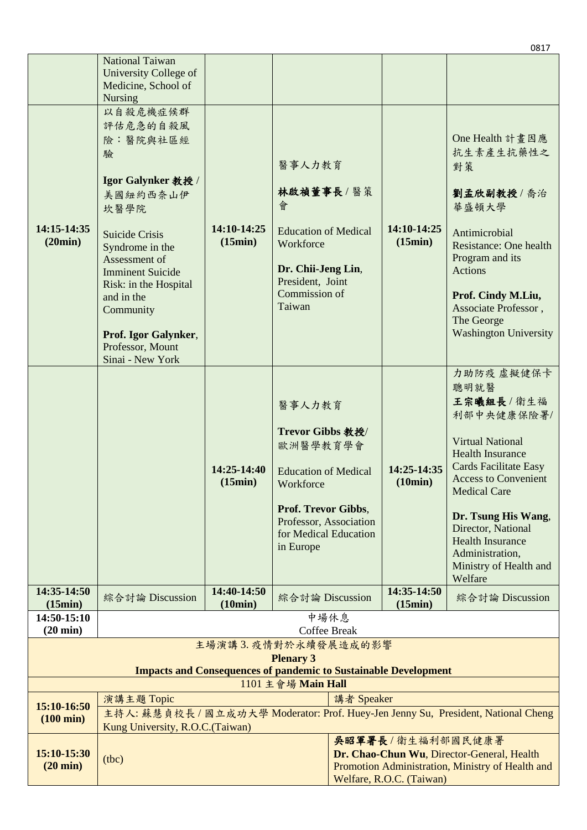|                                                                                              |                                              |                        |                             |            |                          | 0817                                                                              |
|----------------------------------------------------------------------------------------------|----------------------------------------------|------------------------|-----------------------------|------------|--------------------------|-----------------------------------------------------------------------------------|
|                                                                                              | <b>National Taiwan</b>                       |                        |                             |            |                          |                                                                                   |
|                                                                                              | University College of<br>Medicine, School of |                        |                             |            |                          |                                                                                   |
|                                                                                              | <b>Nursing</b>                               |                        |                             |            |                          |                                                                                   |
|                                                                                              | 以自殺危機症候群                                     |                        |                             |            |                          |                                                                                   |
|                                                                                              | 評估危急的自殺風                                     |                        |                             |            |                          |                                                                                   |
|                                                                                              | <b>險:醫院與社區經</b>                              |                        |                             |            |                          | One Health 計畫因應                                                                   |
|                                                                                              | 驗                                            |                        |                             |            |                          | 抗生素產生抗藥性之                                                                         |
|                                                                                              |                                              |                        | 醫事人力教育                      |            |                          | 對策                                                                                |
|                                                                                              | Igor Galynker 教授 /                           |                        |                             |            |                          |                                                                                   |
|                                                                                              | 美國紐約西奈山伊                                     |                        | 林啟禎董事長/醫策                   |            |                          | 劉孟欣副教授/喬治                                                                         |
|                                                                                              | 坎醫學院                                         |                        | 會                           |            |                          | 華盛頓大學                                                                             |
| 14:15-14:35                                                                                  |                                              | 14:10-14:25            | <b>Education of Medical</b> |            | 14:10-14:25              |                                                                                   |
| (20min)                                                                                      | <b>Suicide Crisis</b>                        | (15min)                | Workforce                   |            | (15min)                  | Antimicrobial<br>Resistance: One health                                           |
|                                                                                              | Syndrome in the<br>Assessment of             |                        |                             |            |                          | Program and its                                                                   |
|                                                                                              | <b>Imminent Suicide</b>                      |                        | Dr. Chii-Jeng Lin,          |            |                          | Actions                                                                           |
|                                                                                              | Risk: in the Hospital                        |                        | President, Joint            |            |                          |                                                                                   |
|                                                                                              | and in the                                   |                        | Commission of               |            |                          | Prof. Cindy M.Liu,                                                                |
|                                                                                              | Community                                    |                        | Taiwan                      |            |                          | Associate Professor,                                                              |
|                                                                                              |                                              |                        |                             |            |                          | The George<br><b>Washington University</b>                                        |
|                                                                                              | Prof. Igor Galynker,<br>Professor, Mount     |                        |                             |            |                          |                                                                                   |
|                                                                                              | Sinai - New York                             |                        |                             |            |                          |                                                                                   |
|                                                                                              |                                              |                        |                             |            |                          | 力助防疫虚擬健保卡                                                                         |
|                                                                                              |                                              |                        |                             |            |                          | 聰明就醫                                                                              |
|                                                                                              |                                              |                        | 醫事人力教育                      |            |                          | 王宗曦組長/衛生福                                                                         |
|                                                                                              |                                              |                        |                             |            |                          | 利部中央健康保險署/                                                                        |
|                                                                                              |                                              |                        | Trevor Gibbs 教授/            |            |                          |                                                                                   |
|                                                                                              |                                              |                        | 歐洲醫學教育學會                    |            |                          | <b>Virtual National</b>                                                           |
|                                                                                              |                                              |                        |                             |            |                          | <b>Health Insurance</b><br><b>Cards Facilitate Easy</b>                           |
|                                                                                              |                                              | 14:25-14:40<br>(15min) | <b>Education of Medical</b> |            | 14:25-14:35<br>(10min)   | <b>Access to Convenient</b>                                                       |
|                                                                                              |                                              |                        | Workforce                   |            |                          | <b>Medical Care</b>                                                               |
|                                                                                              |                                              |                        | Prof. Trevor Gibbs,         |            |                          |                                                                                   |
|                                                                                              |                                              |                        | Professor, Association      |            |                          | Dr. Tsung His Wang,<br>Director, National                                         |
|                                                                                              |                                              |                        | for Medical Education       |            |                          | <b>Health Insurance</b>                                                           |
|                                                                                              |                                              |                        | in Europe                   |            |                          | Administration,                                                                   |
|                                                                                              |                                              |                        |                             |            |                          | Ministry of Health and                                                            |
|                                                                                              |                                              |                        |                             |            |                          | Welfare                                                                           |
| 14:35-14:50<br>(15min)                                                                       | 綜合討論 Discussion                              | 14:40-14:50<br>(10min) | 綜合討論 Discussion             |            | 14:35-14:50<br>(15min)   | 綜合討論 Discussion                                                                   |
| 14:50-15:10                                                                                  |                                              |                        |                             | 中場休息       |                          |                                                                                   |
| $(20 \text{ min})$                                                                           | <b>Coffee Break</b>                          |                        |                             |            |                          |                                                                                   |
| 主場演講3. 疫情對於永續發展造成的影響                                                                         |                                              |                        |                             |            |                          |                                                                                   |
| <b>Plenary 3</b>                                                                             |                                              |                        |                             |            |                          |                                                                                   |
| <b>Impacts and Consequences of pandemic to Sustainable Development</b><br>1101 主會場 Main Hall |                                              |                        |                             |            |                          |                                                                                   |
|                                                                                              | 演講主題 Topic                                   |                        |                             | 講者 Speaker |                          |                                                                                   |
| 15:10-16:50                                                                                  |                                              |                        |                             |            |                          | 主持人: 蘇慧貞校長 / 國立成功大學 Moderator: Prof. Huey-Jen Jenny Su, President, National Cheng |
| $(100 \text{ min})$                                                                          | Kung University, R.O.C. (Taiwan)             |                        |                             |            |                          |                                                                                   |
|                                                                                              |                                              |                        |                             |            | 吳昭軍署長/衛生福利部國民健康署         |                                                                                   |
| 15:10-15:30                                                                                  | (tbc)                                        |                        |                             |            |                          | Dr. Chao-Chun Wu, Director-General, Health                                        |
| $(20 \text{ min})$                                                                           |                                              |                        |                             |            |                          | Promotion Administration, Ministry of Health and                                  |
|                                                                                              |                                              |                        |                             |            | Welfare, R.O.C. (Taiwan) |                                                                                   |